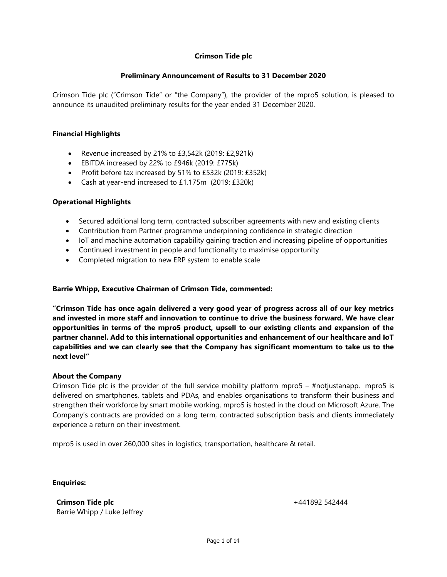### **Preliminary Announcement of Results to 31 December 2020**

Crimson Tide plc ("Crimson Tide" or "the Company"), the provider of the mpro5 solution, is pleased to announce its unaudited preliminary results for the year ended 31 December 2020.

### **Financial Highlights**

- Revenue increased by 21% to £3,542k (2019: £2,921k)
- EBITDA increased by 22% to £946k (2019: £775k)
- Profit before tax increased by 51% to £532k (2019: £352k)
- Cash at year-end increased to £1.175m (2019: £320k)

#### **Operational Highlights**

- Secured additional long term, contracted subscriber agreements with new and existing clients
- Contribution from Partner programme underpinning confidence in strategic direction
- IoT and machine automation capability gaining traction and increasing pipeline of opportunities
- Continued investment in people and functionality to maximise opportunity
- Completed migration to new ERP system to enable scale

### **Barrie Whipp, Executive Chairman of Crimson Tide, commented:**

**"Crimson Tide has once again delivered a very good year of progress across all of our key metrics and invested in more staff and innovation to continue to drive the business forward. We have clear opportunities in terms of the mpro5 product, upsell to our existing clients and expansion of the partner channel. Add to this international opportunities and enhancement of our healthcare and IoT capabilities and we can clearly see that the Company has significant momentum to take us to the next level"**

#### **About the Company**

Crimson Tide plc is the provider of the full service mobility platform mpro5 – #notjustanapp. mpro5 is delivered on smartphones, tablets and PDAs, and enables organisations to transform their business and strengthen their workforce by smart mobile working. mpro5 is hosted in the cloud on Microsoft Azure. The Company's contracts are provided on a long term, contracted subscription basis and clients immediately experience a return on their investment.

mpro5 is used in over 260,000 sites in logistics, transportation, healthcare & retail.

**Enquiries:** 

**Crimson Tide plc** Barrie Whipp / Luke Jeffrey +441892 542444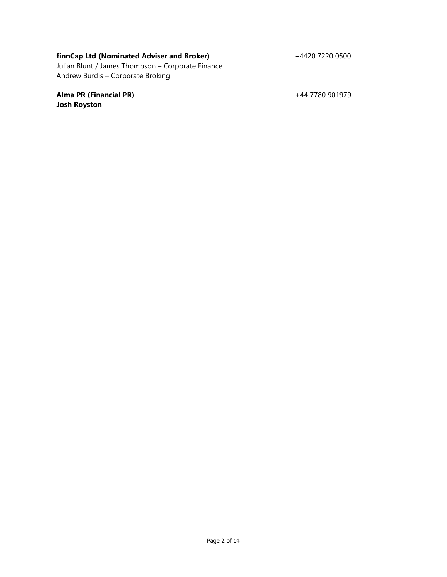## **finnCap Ltd (Nominated Adviser and Broker)**

+4420 7220 0500

Julian Blunt / James Thompson – Corporate Finance Andrew Burdis – Corporate Broking

**Alma PR (Financial PR) Josh Royston**

+44 7780 901979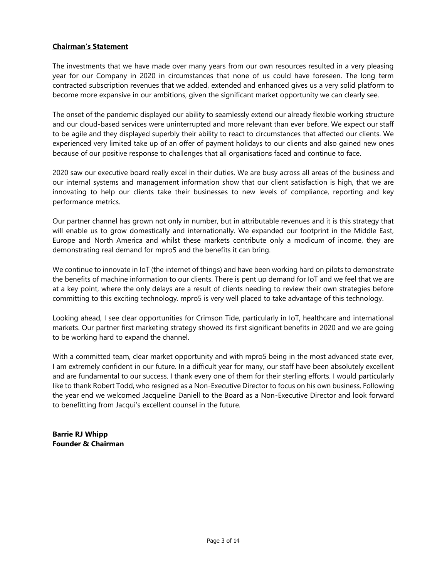## **Chairman's Statement**

The investments that we have made over many years from our own resources resulted in a very pleasing year for our Company in 2020 in circumstances that none of us could have foreseen. The long term contracted subscription revenues that we added, extended and enhanced gives us a very solid platform to become more expansive in our ambitions, given the significant market opportunity we can clearly see.

The onset of the pandemic displayed our ability to seamlessly extend our already flexible working structure and our cloud-based services were uninterrupted and more relevant than ever before. We expect our staff to be agile and they displayed superbly their ability to react to circumstances that affected our clients. We experienced very limited take up of an offer of payment holidays to our clients and also gained new ones because of our positive response to challenges that all organisations faced and continue to face.

2020 saw our executive board really excel in their duties. We are busy across all areas of the business and our internal systems and management information show that our client satisfaction is high, that we are innovating to help our clients take their businesses to new levels of compliance, reporting and key performance metrics.

Our partner channel has grown not only in number, but in attributable revenues and it is this strategy that will enable us to grow domestically and internationally. We expanded our footprint in the Middle East, Europe and North America and whilst these markets contribute only a modicum of income, they are demonstrating real demand for mpro5 and the benefits it can bring.

We continue to innovate in IoT (the internet of things) and have been working hard on pilots to demonstrate the benefits of machine information to our clients. There is pent up demand for IoT and we feel that we are at a key point, where the only delays are a result of clients needing to review their own strategies before committing to this exciting technology. mpro5 is very well placed to take advantage of this technology.

Looking ahead, I see clear opportunities for Crimson Tide, particularly in IoT, healthcare and international markets. Our partner first marketing strategy showed its first significant benefits in 2020 and we are going to be working hard to expand the channel.

With a committed team, clear market opportunity and with mpro5 being in the most advanced state ever, I am extremely confident in our future. In a difficult year for many, our staff have been absolutely excellent and are fundamental to our success. I thank every one of them for their sterling efforts. I would particularly like to thank Robert Todd, who resigned as a Non-Executive Director to focus on his own business. Following the year end we welcomed Jacqueline Daniell to the Board as a Non-Executive Director and look forward to benefitting from Jacqui's excellent counsel in the future.

**Barrie RJ Whipp Founder & Chairman**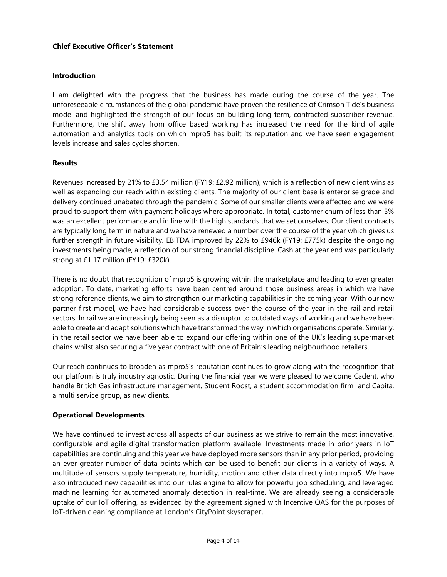## **Chief Executive Officer's Statement**

## **Introduction**

I am delighted with the progress that the business has made during the course of the year. The unforeseeable circumstances of the global pandemic have proven the resilience of Crimson Tide's business model and highlighted the strength of our focus on building long term, contracted subscriber revenue. Furthermore, the shift away from office based working has increased the need for the kind of agile automation and analytics tools on which mpro5 has built its reputation and we have seen engagement levels increase and sales cycles shorten.

## **Results**

Revenues increased by 21% to £3.54 million (FY19: £2.92 million), which is a reflection of new client wins as well as expanding our reach within existing clients. The majority of our client base is enterprise grade and delivery continued unabated through the pandemic. Some of our smaller clients were affected and we were proud to support them with payment holidays where appropriate. In total, customer churn of less than 5% was an excellent performance and in line with the high standards that we set ourselves. Our client contracts are typically long term in nature and we have renewed a number over the course of the year which gives us further strength in future visibility. EBITDA improved by 22% to £946k (FY19: £775k) despite the ongoing investments being made, a reflection of our strong financial discipline. Cash at the year end was particularly strong at £1.17 million (FY19: £320k).

There is no doubt that recognition of mpro5 is growing within the marketplace and leading to ever greater adoption. To date, marketing efforts have been centred around those business areas in which we have strong reference clients, we aim to strengthen our marketing capabilities in the coming year. With our new partner first model, we have had considerable success over the course of the year in the rail and retail sectors. In rail we are increasingly being seen as a disruptor to outdated ways of working and we have been able to create and adapt solutions which have transformed the way in which organisations operate. Similarly, in the retail sector we have been able to expand our offering within one of the UK's leading supermarket chains whilst also securing a five year contract with one of Britain's leading neigbourhood retailers.

Our reach continues to broaden as mpro5's reputation continues to grow along with the recognition that our platform is truly industry agnostic. During the financial year we were pleased to welcome Cadent, who handle Britich Gas infrastructure management, Student Roost, a student accommodation firm and Capita, a multi service group, as new clients.

## **Operational Developments**

We have continued to invest across all aspects of our business as we strive to remain the most innovative, configurable and agile digital transformation platform available. Investments made in prior years in IoT capabilities are continuing and this year we have deployed more sensors than in any prior period, providing an ever greater number of data points which can be used to benefit our clients in a variety of ways. A multitude of sensors supply temperature, humidity, motion and other data directly into mpro5. We have also introduced new capabilities into our rules engine to allow for powerful job scheduling, and leveraged machine learning for automated anomaly detection in real-time. We are already seeing a considerable uptake of our IoT offering, as evidenced by the agreement signed with Incentive QAS for the purposes of IoT-driven cleaning compliance at London's CityPoint skyscraper.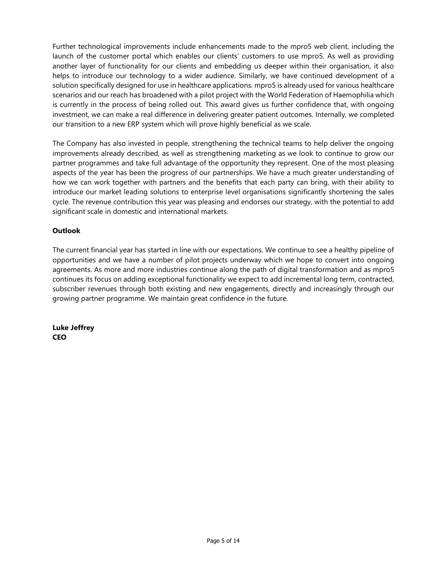Further technological improvements include enhancements made to the mpro5 web client, including the launch of the customer portal which enables our clients' customers to use mpro5. As well as providing another layer of functionality for our clients and embedding us deeper within their organisation, it also helps to introduce our technology to a wider audience. Similarly, we have continued development of a solution specifically designed for use in healthcare applications. mpro5 is already used for various healthcare scenarios and our reach has broadened with a pilot project with the World Federation of Haemophilia which is currently in the process of being rolled out. This award gives us further confidence that, with ongoing investment, we can make a real difference in delivering greater patient outcomes. Internally, we completed our transition to a new ERP system which will prove highly beneficial as we scale.

The Company has also invested in people, strengthening the technical teams to help deliver the ongoing improvements already described, as well as strengthening marketing as we look to continue to grow our partner programmes and take full advantage of the opportunity they represent. One of the most pleasing aspects of the year has been the progress of our partnerships. We have a much greater understanding of how we can work together with partners and the benefits that each party can bring, with their ability to introduce our market leading solutions to enterprise level organisations significantly shortening the sales cycle. The revenue contribution this year was pleasing and endorses our strategy, with the potential to add significant scale in domestic and international markets.

## **Outlook**

The current financial year has started in line with our expectations. We continue to see a healthy pipeline of opportunities and we have a number of pilot projects underway which we hope to convert into ongoing agreements. As more and more industries continue along the path of digital transformation and as mpro5 continues its focus on adding exceptional functionality we expect to add incremental long term, contracted, subscriber revenues through both existing and new engagements, directly and increasingly through our growing partner programme. We maintain great confidence in the future.

**Luke Jeffrey CEO**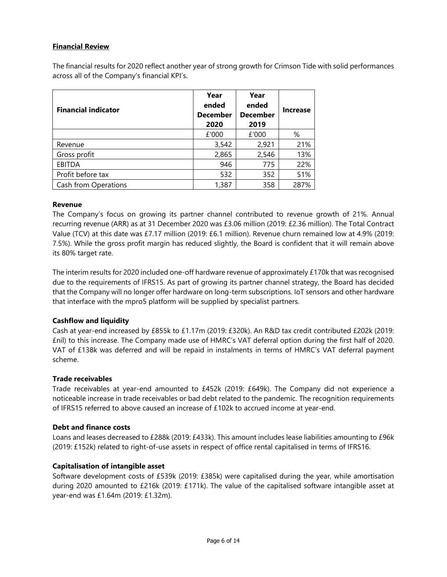## **Financial Review**

The financial results for 2020 reflect another year of strong growth for Crimson Tide with solid performances across all of the Company's financial KPI's.

| <b>Financial indicator</b> | Year<br>ended<br><b>December</b><br>2020 | Year<br>ended<br><b>December</b><br>2019 | <b>Increase</b> |
|----------------------------|------------------------------------------|------------------------------------------|-----------------|
|                            | £'000                                    | £'000                                    | %               |
| Revenue                    | 3,542                                    | 2,921                                    | 21%             |
| Gross profit               | 2,865                                    | 2,546                                    | 13%             |
| <b>EBITDA</b>              | 946                                      | 775                                      | 22%             |
| Profit before tax          | 532                                      | 352                                      | 51%             |
| Cash from Operations       | 1,387                                    | 358                                      | 287%            |

#### **Revenue**

The Company's focus on growing its partner channel contributed to revenue growth of 21%. Annual recurring revenue (ARR) as at 31 December 2020 was £3.06 million (2019: £2.36 million). The Total Contract Value (TCV) at this date was £7.17 million (2019: £6.1 million). Revenue churn remained low at 4.9% (2019: 7.5%). While the gross profit margin has reduced slightly, the Board is confident that it will remain above its 80% target rate.

The interim results for 2020 included one-off hardware revenue of approximately £170k that was recognised due to the requirements of IFRS15. As part of growing its partner channel strategy, the Board has decided that the Company will no longer offer hardware on long-term subscriptions. IoT sensors and other hardware that interface with the mpro5 platform will be supplied by specialist partners.

## **Cashflow and liquidity**

Cash at year-end increased by £855k to £1.17m (2019: £320k). An R&D tax credit contributed £202k (2019: £nil) to this increase. The Company made use of HMRC's VAT deferral option during the first half of 2020. VAT of £138k was deferred and will be repaid in instalments in terms of HMRC's VAT deferral payment scheme.

#### **Trade receivables**

Trade receivables at year-end amounted to £452k (2019: £649k). The Company did not experience a noticeable increase in trade receivables or bad debt related to the pandemic. The recognition requirements of IFRS15 referred to above caused an increase of £102k to accrued income at year-end.

#### **Debt and finance costs**

Loans and leases decreased to £288k (2019: £433k). This amount includes lease liabilities amounting to £96k (2019: £152k) related to right-of-use assets in respect of office rental capitalised in terms of IFRS16.

## **Capitalisation of intangible asset**

Software development costs of £539k (2019: £385k) were capitalised during the year, while amortisation during 2020 amounted to £216k (2019: £171k). The value of the capitalised software intangible asset at year-end was £1.64m (2019: £1.32m).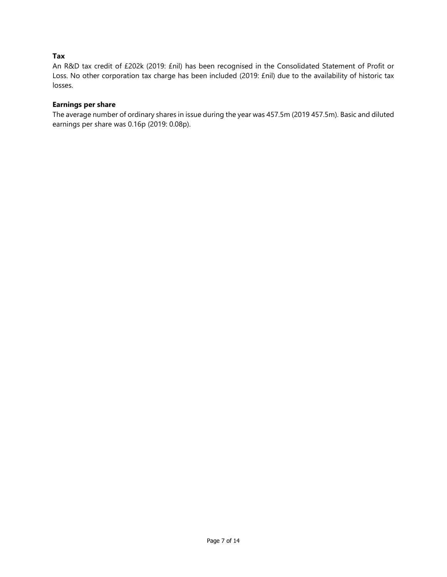## **Tax**

An R&D tax credit of £202k (2019: £nil) has been recognised in the Consolidated Statement of Profit or Loss. No other corporation tax charge has been included (2019: £nil) due to the availability of historic tax losses.

### **Earnings per share**

The average number of ordinary shares in issue during the year was 457.5m (2019 457.5m). Basic and diluted earnings per share was 0.16p (2019: 0.08p).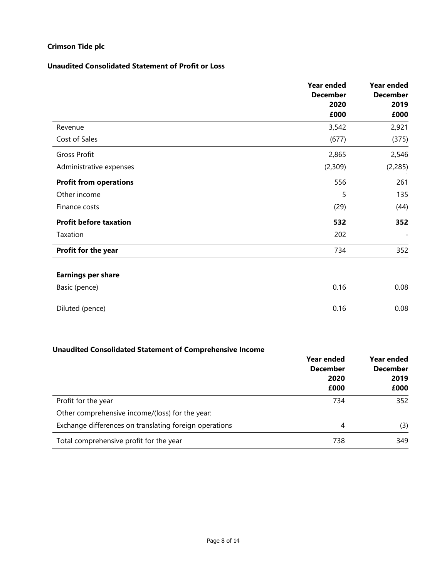## **Unaudited Consolidated Statement of Profit or Loss**

|                                            | <b>Year ended</b><br><b>December</b><br>2020<br>£000 | <b>Year ended</b><br><b>December</b><br>2019<br>£000 |
|--------------------------------------------|------------------------------------------------------|------------------------------------------------------|
| Revenue                                    | 3,542                                                | 2,921                                                |
| Cost of Sales                              | (677)                                                | (375)                                                |
| Gross Profit                               | 2,865                                                | 2,546                                                |
| Administrative expenses                    | (2,309)                                              | (2, 285)                                             |
| <b>Profit from operations</b>              | 556                                                  | 261                                                  |
| Other income                               | 5                                                    | 135                                                  |
| Finance costs                              | (29)                                                 | (44)                                                 |
| <b>Profit before taxation</b>              | 532                                                  | 352                                                  |
| Taxation                                   | 202                                                  |                                                      |
| Profit for the year                        | 734                                                  | 352                                                  |
| <b>Earnings per share</b><br>Basic (pence) | 0.16                                                 | 0.08                                                 |
| Diluted (pence)                            | 0.16                                                 | 0.08                                                 |

# **Unaudited Consolidated Statement of Comprehensive Income**

|                                                        | Year ended                      | <b>Year ended</b><br><b>December</b><br>2019 |  |
|--------------------------------------------------------|---------------------------------|----------------------------------------------|--|
|                                                        | <b>December</b><br>2020<br>£000 |                                              |  |
|                                                        |                                 | £000                                         |  |
| Profit for the year                                    | 734                             | 352                                          |  |
| Other comprehensive income/(loss) for the year:        |                                 |                                              |  |
| Exchange differences on translating foreign operations | 4                               | (3)                                          |  |
| Total comprehensive profit for the year                | 738                             | 349                                          |  |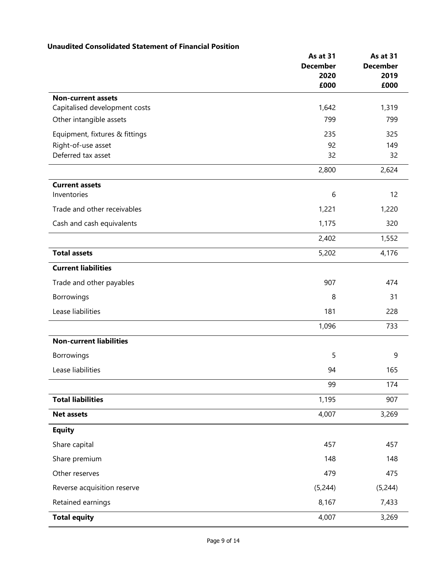# **Unaudited Consolidated Statement of Financial Position**

|                                                      | As at 31<br><b>December</b><br>2020<br>£000 | As at 31<br><b>December</b><br>2019<br>£000 |
|------------------------------------------------------|---------------------------------------------|---------------------------------------------|
| <b>Non-current assets</b>                            |                                             |                                             |
| Capitalised development costs                        | 1,642<br>799                                | 1,319<br>799                                |
| Other intangible assets                              |                                             |                                             |
| Equipment, fixtures & fittings<br>Right-of-use asset | 235<br>92                                   | 325<br>149                                  |
| Deferred tax asset                                   | 32                                          | 32                                          |
|                                                      | 2,800                                       | 2,624                                       |
| <b>Current assets</b>                                |                                             |                                             |
| Inventories                                          | 6                                           | 12                                          |
| Trade and other receivables                          | 1,221                                       | 1,220                                       |
| Cash and cash equivalents                            | 1,175                                       | 320                                         |
|                                                      | 2,402                                       | 1,552                                       |
| <b>Total assets</b>                                  | 5,202                                       | 4,176                                       |
| <b>Current liabilities</b>                           |                                             |                                             |
| Trade and other payables                             | 907                                         | 474                                         |
| Borrowings                                           | 8                                           | 31                                          |
| Lease liabilities                                    | 181                                         | 228                                         |
|                                                      | 1,096                                       | 733                                         |
| <b>Non-current liabilities</b>                       |                                             |                                             |
| Borrowings                                           | 5                                           | 9                                           |
| Lease liabilities                                    | 94                                          | 165                                         |
|                                                      | 99                                          | 174                                         |
| <b>Total liabilities</b>                             | 1,195                                       | 907                                         |
| <b>Net assets</b>                                    | 4,007                                       | 3,269                                       |
| <b>Equity</b>                                        |                                             |                                             |
| Share capital                                        | 457                                         | 457                                         |
| Share premium                                        | 148                                         | 148                                         |
| Other reserves                                       | 479                                         | 475                                         |
| Reverse acquisition reserve                          | (5,244)                                     | (5,244)                                     |
| Retained earnings                                    | 8,167                                       | 7,433                                       |
| <b>Total equity</b>                                  | 4,007                                       | 3,269                                       |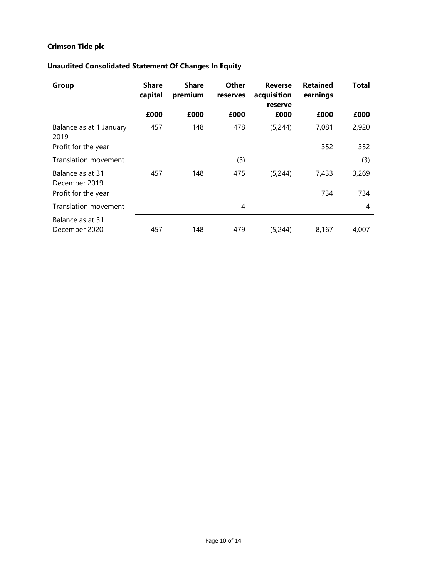# **Unaudited Consolidated Statement Of Changes In Equity**

| Group                             | <b>Share</b><br>capital | <b>Share</b><br>premium | Other<br>reserves | <b>Reverse</b><br>acquisition<br>reserve | <b>Retained</b><br>earnings | Total |
|-----------------------------------|-------------------------|-------------------------|-------------------|------------------------------------------|-----------------------------|-------|
|                                   | £000                    | £000                    | £000              | £000                                     | £000                        | £000  |
| Balance as at 1 January<br>2019   | 457                     | 148                     | 478               | (5,244)                                  | 7,081                       | 2,920 |
| Profit for the year               |                         |                         |                   |                                          | 352                         | 352   |
| Translation movement              |                         |                         | (3)               |                                          |                             | (3)   |
| Balance as at 31<br>December 2019 | 457                     | 148                     | 475               | (5,244)                                  | 7,433                       | 3,269 |
| Profit for the year               |                         |                         |                   |                                          | 734                         | 734   |
| Translation movement              |                         |                         | 4                 |                                          |                             | 4     |
| Balance as at 31<br>December 2020 | 457                     | 148                     | 479               | (5,244)                                  | 8,167                       | 4,007 |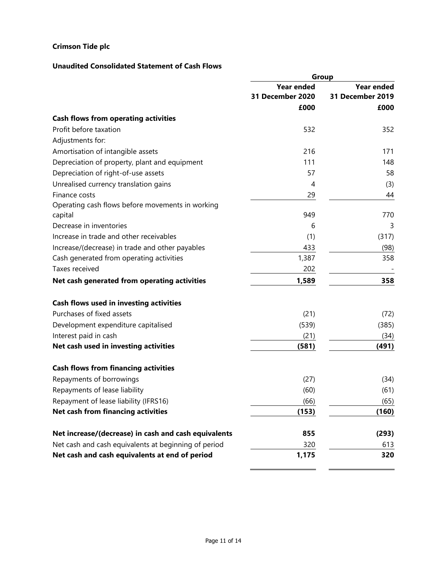# **Unaudited Consolidated Statement of Cash Flows**

|                                                      | Group             |                   |  |
|------------------------------------------------------|-------------------|-------------------|--|
|                                                      | <b>Year ended</b> | <b>Year ended</b> |  |
|                                                      | 31 December 2020  | 31 December 2019  |  |
|                                                      | £000              | £000              |  |
| <b>Cash flows from operating activities</b>          |                   |                   |  |
| Profit before taxation                               | 532               | 352               |  |
| Adjustments for:                                     |                   |                   |  |
| Amortisation of intangible assets                    | 216               | 171               |  |
| Depreciation of property, plant and equipment        | 111               | 148               |  |
| Depreciation of right-of-use assets                  | 57                | 58                |  |
| Unrealised currency translation gains                | 4                 | (3)               |  |
| Finance costs                                        | 29                | 44                |  |
| Operating cash flows before movements in working     |                   |                   |  |
| capital                                              | 949               | 770               |  |
| Decrease in inventories                              | 6                 | 3                 |  |
| Increase in trade and other receivables              | (1)               | (317)             |  |
| Increase/(decrease) in trade and other payables      | 433               | (98)              |  |
| Cash generated from operating activities             | 1,387             | 358               |  |
| Taxes received                                       | 202               |                   |  |
| Net cash generated from operating activities         | 1,589             | 358               |  |
| Cash flows used in investing activities              |                   |                   |  |
| Purchases of fixed assets                            | (21)              | (72)              |  |
| Development expenditure capitalised                  | (539)             | (385)             |  |
| Interest paid in cash                                | (21)              | (34)              |  |
| Net cash used in investing activities                | (581)             | (491)             |  |
| <b>Cash flows from financing activities</b>          |                   |                   |  |
| Repayments of borrowings                             | (27)              | (34)              |  |
| Repayments of lease liability                        | (60)              | (61)              |  |
| Repayment of lease liability (IFRS16)                | (66)              | (65)              |  |
| Net cash from financing activities                   | (153)             | (160)             |  |
| Net increase/(decrease) in cash and cash equivalents | 855               | (293)             |  |
| Net cash and cash equivalents at beginning of period | 320               | 613               |  |
| Net cash and cash equivalents at end of period       | 1,175             | 320               |  |

L.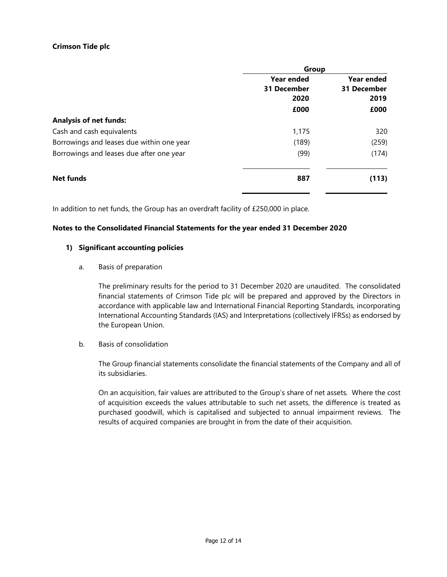| Group             |                    |
|-------------------|--------------------|
| <b>Year ended</b> | <b>Year ended</b>  |
| 31 December       | <b>31 December</b> |
| 2020              | 2019               |
| £000              | £000               |
|                   |                    |
| 1,175             | 320                |
| (189)             | (259)              |
| (99)              | (174)              |
| 887               | (113)              |
|                   |                    |

In addition to net funds, the Group has an overdraft facility of £250,000 in place.

## **Notes to the Consolidated Financial Statements for the year ended 31 December 2020**

#### **1) Significant accounting policies**

#### a. Basis of preparation

The preliminary results for the period to 31 December 2020 are unaudited. The consolidated financial statements of Crimson Tide plc will be prepared and approved by the Directors in accordance with applicable law and International Financial Reporting Standards, incorporating International Accounting Standards (IAS) and Interpretations (collectively IFRSs) as endorsed by the European Union.

b. Basis of consolidation

The Group financial statements consolidate the financial statements of the Company and all of its subsidiaries.

On an acquisition, fair values are attributed to the Group's share of net assets. Where the cost of acquisition exceeds the values attributable to such net assets, the difference is treated as purchased goodwill, which is capitalised and subjected to annual impairment reviews. The results of acquired companies are brought in from the date of their acquisition.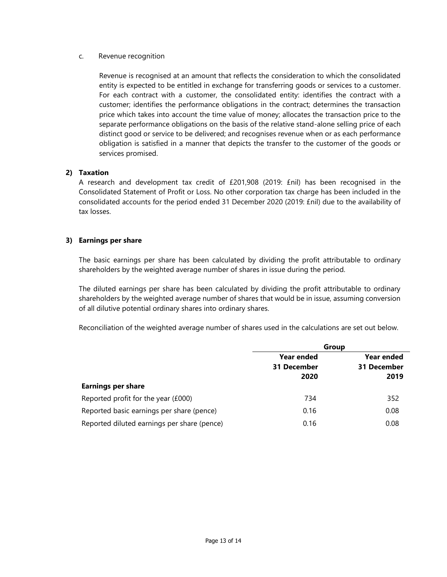### c. Revenue recognition

Revenue is recognised at an amount that reflects the consideration to which the consolidated entity is expected to be entitled in exchange for transferring goods or services to a customer. For each contract with a customer, the consolidated entity: identifies the contract with a customer; identifies the performance obligations in the contract; determines the transaction price which takes into account the time value of money; allocates the transaction price to the separate performance obligations on the basis of the relative stand-alone selling price of each distinct good or service to be delivered; and recognises revenue when or as each performance obligation is satisfied in a manner that depicts the transfer to the customer of the goods or services promised.

## **2) Taxation**

A research and development tax credit of £201,908 (2019: £nil) has been recognised in the Consolidated Statement of Profit or Loss. No other corporation tax charge has been included in the consolidated accounts for the period ended 31 December 2020 (2019: £nil) due to the availability of tax losses.

## **3) Earnings per share**

The basic earnings per share has been calculated by dividing the profit attributable to ordinary shareholders by the weighted average number of shares in issue during the period.

The diluted earnings per share has been calculated by dividing the profit attributable to ordinary shareholders by the weighted average number of shares that would be in issue, assuming conversion of all dilutive potential ordinary shares into ordinary shares.

Reconciliation of the weighted average number of shares used in the calculations are set out below.

|                                             | Group       |             |
|---------------------------------------------|-------------|-------------|
|                                             | Year ended  | Year ended  |
|                                             | 31 December | 31 December |
|                                             | 2020        | 2019        |
| <b>Earnings per share</b>                   |             |             |
| Reported profit for the year (£000)         | 734         | 352         |
| Reported basic earnings per share (pence)   | 0.16        | 0.08        |
| Reported diluted earnings per share (pence) | 0.16        | 0.08        |